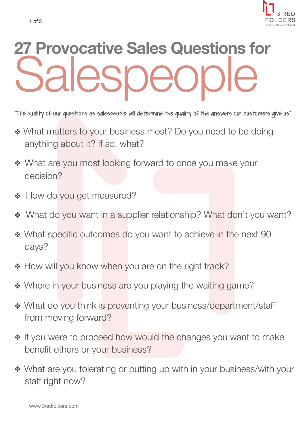

## **27 Provocative Sales Questions for PSDEOI**

"The quality of our questions as salespeople will determine the quality of the answers our customers give us"

- ❖ What matters to your business most? Do you need to be doing anything about it? If so, what?
- ❖ What are you most looking forward to once you make your decision?
- ❖ How do you get measured?
- ❖ What do you want in a supplier relationship? What don't you want?
- ❖ What specific outcomes do you want to achieve in the next 90 days?
- ◆ How will you know when you are on the right track?
- ❖ Where in your business are you playing the waiting game?
- ❖ What do you think is preventing your business/department/staff from moving forward?
- ❖ If you were to proceed how would the changes you want to make benefit others or your business?
- ❖ What are you tolerating or putting up with in your business/with your staff right now?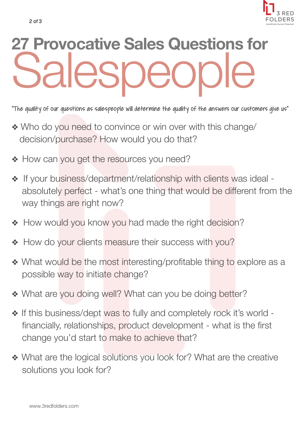

## **27 Provocative Sales Questions for Salespeople**

"The quality of our questions as salespeople will determine the quality of the answers our customers give us"

- ❖ Who do you need to convince or win over with this change/ decision/purchase? How would you do that?
- ❖ How can you get the resources you need?
- ❖ If your business/department/relationship with clients was ideal absolutely perfect - what's one thing that would be different from the way things are right now?
- ❖ How would you know you had made the right decision?
- ◆ How do your clients measure their success with you?
- ❖ What would be the most interesting/profitable thing to explore as a possible way to initiate change?
- ◆ What are you doing well? What can you be doing better?
- ❖ If this business/dept was to fully and completely rock it's world financially, relationships, product development - what is the first change you'd start to make to achieve that?
- ❖ What are the logical solutions you look for? What are the creative solutions you look for?